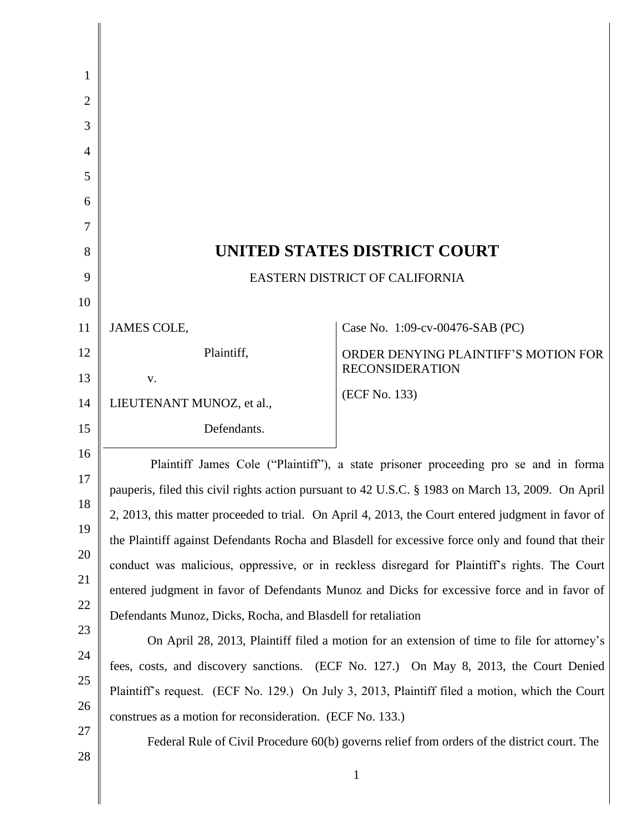| 1              |                                                                                                   |                                                                |  |
|----------------|---------------------------------------------------------------------------------------------------|----------------------------------------------------------------|--|
| 2              |                                                                                                   |                                                                |  |
| 3              |                                                                                                   |                                                                |  |
| $\overline{4}$ |                                                                                                   |                                                                |  |
| 5              |                                                                                                   |                                                                |  |
| 6              |                                                                                                   |                                                                |  |
| 7              |                                                                                                   |                                                                |  |
| 8              | UNITED STATES DISTRICT COURT                                                                      |                                                                |  |
| 9              | EASTERN DISTRICT OF CALIFORNIA                                                                    |                                                                |  |
| 10             |                                                                                                   |                                                                |  |
| 11             | <b>JAMES COLE,</b>                                                                                | Case No. 1:09-cv-00476-SAB (PC)                                |  |
| 12             | Plaintiff,                                                                                        | ORDER DENYING PLAINTIFF'S MOTION FOR<br><b>RECONSIDERATION</b> |  |
| 13             | V.                                                                                                |                                                                |  |
| 14             | LIEUTENANT MUNOZ, et al.,                                                                         | (ECF No. 133)                                                  |  |
| 15             | Defendants.                                                                                       |                                                                |  |
| 16             | Plaintiff James Cole ("Plaintiff"), a state prisoner proceeding pro se and in forma               |                                                                |  |
| 17             | pauperis, filed this civil rights action pursuant to 42 U.S.C. § 1983 on March 13, 2009. On April |                                                                |  |
| 18             | 2, 2013, this matter proceeded to trial. On April 4, 2013, the Court entered judgment in favor of |                                                                |  |
| 19             | the Plaintiff against Defendants Rocha and Blasdell for excessive force only and found that their |                                                                |  |
| 20             | conduct was malicious, oppressive, or in reckless disregard for Plaintiff's rights. The Court     |                                                                |  |
| 21             | entered judgment in favor of Defendants Munoz and Dicks for excessive force and in favor of       |                                                                |  |
| 22             | Defendants Munoz, Dicks, Rocha, and Blasdell for retaliation                                      |                                                                |  |
| 23             | On April 28, 2013, Plaintiff filed a motion for an extension of time to file for attorney's       |                                                                |  |
| 24             | fees, costs, and discovery sanctions. (ECF No. 127.) On May 8, 2013, the Court Denied             |                                                                |  |
| 25             | Plaintiff's request. (ECF No. 129.) On July 3, 2013, Plaintiff filed a motion, which the Court    |                                                                |  |
| 26             | construes as a motion for reconsideration. (ECF No. 133.)                                         |                                                                |  |
| 27             | Federal Rule of Civil Procedure 60(b) governs relief from orders of the district court. The       |                                                                |  |
| 28             |                                                                                                   | $\mathbf{1}$                                                   |  |

∥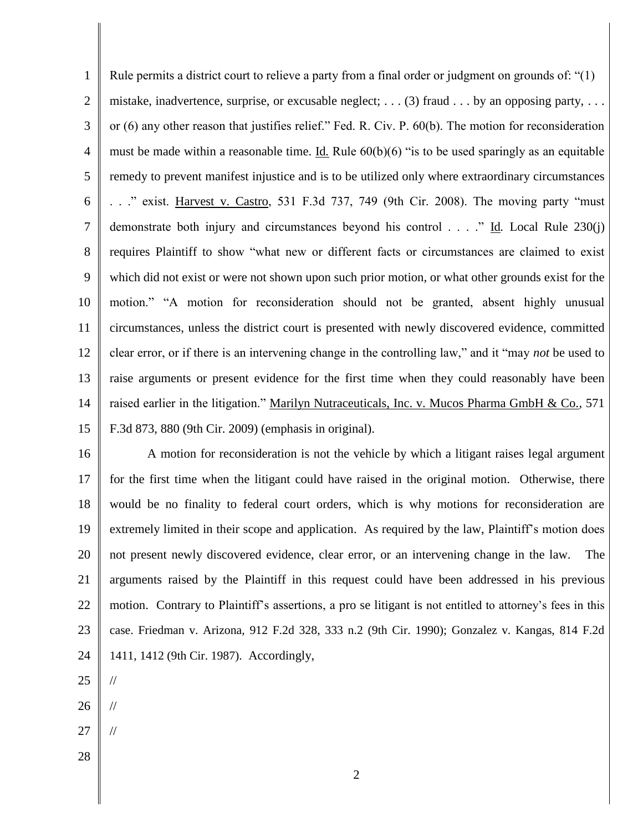1 2 3 4 5 6 7 8 9 10 11 12 13 14 15 Rule permits a district court to relieve a party from a final order or judgment on grounds of: "(1) mistake, inadvertence, surprise, or excusable neglect;  $\dots$  (3) fraud  $\dots$  by an opposing party,  $\dots$ or (6) any other reason that justifies relief." Fed. R. Civ. P. 60(b). The motion for reconsideration must be made within a reasonable time. Id*.* Rule 60(b)(6) "is to be used sparingly as an equitable remedy to prevent manifest injustice and is to be utilized only where extraordinary circumstances . . ." exist. Harvest v. Castro, 531 F.3d 737, 749 (9th Cir. 2008). The moving party "must demonstrate both injury and circumstances beyond his control . . . ." Id*.* Local Rule 230(j) requires Plaintiff to show "what new or different facts or circumstances are claimed to exist which did not exist or were not shown upon such prior motion, or what other grounds exist for the motion." "A motion for reconsideration should not be granted, absent highly unusual circumstances, unless the district court is presented with newly discovered evidence, committed clear error, or if there is an intervening change in the controlling law," and it "may *not* be used to raise arguments or present evidence for the first time when they could reasonably have been raised earlier in the litigation." Marilyn Nutraceuticals, Inc. v. Mucos Pharma GmbH & Co., 571 F.3d 873, 880 (9th Cir. 2009) (emphasis in original).

16 17 18 19 20 21 22 23 24 A motion for reconsideration is not the vehicle by which a litigant raises legal argument for the first time when the litigant could have raised in the original motion. Otherwise, there would be no finality to federal court orders, which is why motions for reconsideration are extremely limited in their scope and application. As required by the law, Plaintiff's motion does not present newly discovered evidence, clear error, or an intervening change in the law. The arguments raised by the Plaintiff in this request could have been addressed in his previous motion. Contrary to Plaintiff's assertions, a pro se litigant is not entitled to attorney's fees in this case. Friedman v. Arizona, 912 F.2d 328, 333 n.2 (9th Cir. 1990); Gonzalez v. Kangas, 814 F.2d 1411, 1412 (9th Cir. 1987). Accordingly,

- 25
- 26

//

//

//

- 27
- 28